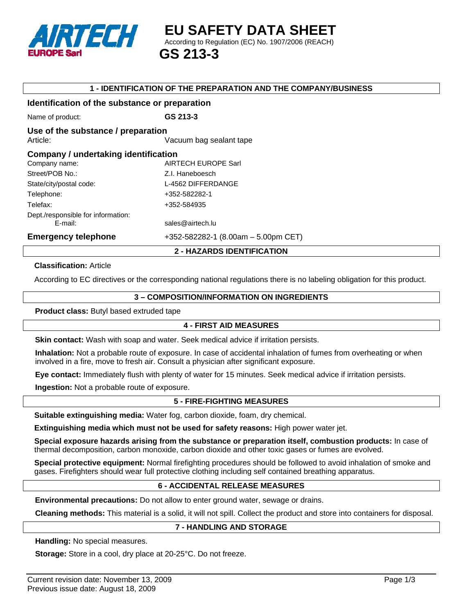

#### **1 - IDENTIFICATION OF THE PREPARATION AND THE COMPANY/BUSINESS**

#### **Identification of the substance or preparation**

Name of product: **GS 213-3** 

#### **Use of the substance / preparation**

Article: **And Article: Article: Article: Article: Article: Article: Article: Article: Article: Article: Article: Article: Article: Article: Article: Article: Article: Article: Article:**

| Company / undertaking identification |                                       |  |
|--------------------------------------|---------------------------------------|--|
| Company name:                        | <b>AIRTECH EUROPE Sarl</b>            |  |
| Street/POB No.:                      | Z.I. Haneboesch                       |  |
| State/city/postal code:              | L-4562 DIFFERDANGE                    |  |
| Telephone:                           | +352-582282-1                         |  |
| Telefax:                             | +352-584935                           |  |
| Dept./responsible for information:   |                                       |  |
| E-mail:                              | sales@airtech.lu                      |  |
| <b>Emergency telephone</b>           | $+352-582282-1$ (8.00am - 5.00pm CET) |  |

#### **2 - HAZARDS IDENTIFICATION**

#### **Classification:** Article

According to EC directives or the corresponding national regulations there is no labeling obligation for this product.

#### **3 – COMPOSITION/INFORMATION ON INGREDIENTS**

**Product class:** Butyl based extruded tape

# **4 - FIRST AID MEASURES**

**Skin contact:** Wash with soap and water. Seek medical advice if irritation persists.

**Inhalation:** Not a probable route of exposure. In case of accidental inhalation of fumes from overheating or when involved in a fire, move to fresh air. Consult a physician after significant exposure.

**Eye contact:** Immediately flush with plenty of water for 15 minutes. Seek medical advice if irritation persists.

**Ingestion:** Not a probable route of exposure.

# **5 - FIRE-FIGHTING MEASURES**

**Suitable extinguishing media:** Water fog, carbon dioxide, foam, dry chemical.

**Extinguishing media which must not be used for safety reasons:** High power water jet.

**Special exposure hazards arising from the substance or preparation itself, combustion products:** In case of thermal decomposition, carbon monoxide, carbon dioxide and other toxic gases or fumes are evolved.

**Special protective equipment:** Normal firefighting procedures should be followed to avoid inhalation of smoke and gases. Firefighters should wear full protective clothing including self contained breathing apparatus.

# **6 - ACCIDENTAL RELEASE MEASURES**

**Environmental precautions:** Do not allow to enter ground water, sewage or drains.

**Cleaning methods:** This material is a solid, it will not spill. Collect the product and store into containers for disposal.

#### **7 - HANDLING AND STORAGE**

**Handling:** No special measures.

**Storage:** Store in a cool, dry place at 20-25°C. Do not freeze.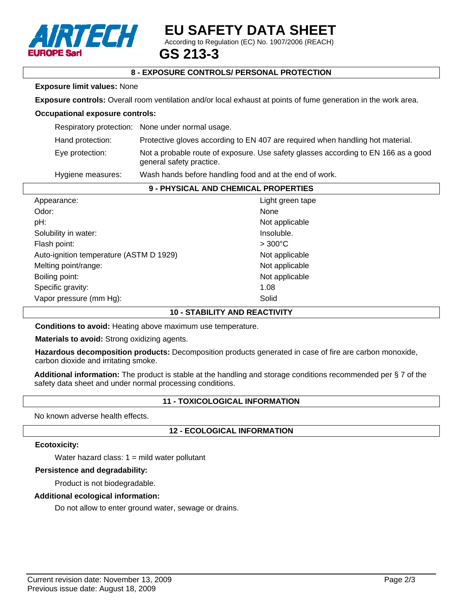

# **EU SAFETY DATA SHEET**

According to Regulation (EC) No. 1907/2006 (REACH)

# **GS 213-3**

# **8 - EXPOSURE CONTROLS/ PERSONAL PROTECTION**

#### **Exposure limit values:** None

**Exposure controls:** Overall room ventilation and/or local exhaust at points of fume generation in the work area.

#### **Occupational exposure controls:**

|                   | Respiratory protection: None under normal usage.                                                               |
|-------------------|----------------------------------------------------------------------------------------------------------------|
| Hand protection:  | Protective gloves according to EN 407 are required when handling hot material.                                 |
| Eye protection:   | Not a probable route of exposure. Use safety glasses according to EN 166 as a good<br>general safety practice. |
| Hygiene measures: | Wash hands before handling food and at the end of work.                                                        |
|                   |                                                                                                                |

# **9 - PHYSICAL AND CHEMICAL PROPERTIES**

| Appearance:                             | Light green tape |
|-----------------------------------------|------------------|
| Odor:                                   | None             |
| pH:                                     | Not applicable   |
| Solubility in water:                    | Insoluble.       |
| Flash point:                            | $>300^{\circ}$ C |
| Auto-ignition temperature (ASTM D 1929) | Not applicable   |
| Melting point/range:                    | Not applicable   |
| Boiling point:                          | Not applicable   |
| Specific gravity:                       | 1.08             |
| Vapor pressure (mm Hg):                 | Solid            |
|                                         |                  |

#### **10 - STABILITY AND REACTIVITY**

**Conditions to avoid:** Heating above maximum use temperature.

**Materials to avoid:** Strong oxidizing agents.

**Hazardous decomposition products:** Decomposition products generated in case of fire are carbon monoxide, carbon dioxide and irritating smoke.

**Additional information:** The product is stable at the handling and storage conditions recommended per § 7 of the safety data sheet and under normal processing conditions.

# **11 - TOXICOLOGICAL INFORMATION**

No known adverse health effects.

# **12 - ECOLOGICAL INFORMATION**

#### **Ecotoxicity:**

Water hazard class:  $1 =$  mild water pollutant

#### **Persistence and degradability:**

Product is not biodegradable.

# **Additional ecological information:**

Do not allow to enter ground water, sewage or drains.